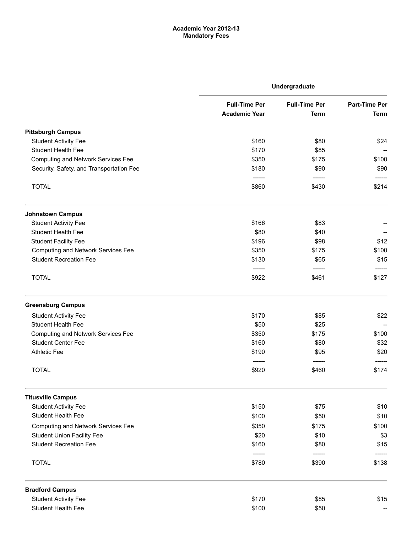## Academic Year 2012-13 Mandatory Fees

|                                           | Undergraduate        |                      |                      |
|-------------------------------------------|----------------------|----------------------|----------------------|
|                                           | <b>Full-Time Per</b> | <b>Full-Time Per</b> | <b>Part-Time Per</b> |
|                                           | <b>Academic Year</b> | <b>Term</b>          | <b>Term</b>          |
| <b>Pittsburgh Campus</b>                  |                      |                      |                      |
| <b>Student Activity Fee</b>               | \$160                | \$80                 | \$24                 |
| <b>Student Health Fee</b>                 | \$170                | \$85                 |                      |
| <b>Computing and Network Services Fee</b> | \$350                | \$175                | \$100                |
| Security, Safety, and Transportation Fee  | \$180                | \$90                 | \$90                 |
| <b>TOTAL</b>                              | \$860                | \$430                | \$214                |
| <b>Johnstown Campus</b>                   |                      |                      |                      |
| <b>Student Activity Fee</b>               | \$166                | \$83                 |                      |
| <b>Student Health Fee</b>                 | \$80                 | \$40                 |                      |
| <b>Student Facility Fee</b>               | \$196                | \$98                 | \$12                 |
| <b>Computing and Network Services Fee</b> | \$350                | \$175                | \$100                |
| <b>Student Recreation Fee</b>             | \$130                | \$65                 | \$15                 |
| <b>TOTAL</b>                              | -------<br>\$922     | -------<br>\$461     | -----<br>\$127       |
| <b>Greensburg Campus</b>                  |                      |                      |                      |
| <b>Student Activity Fee</b>               | \$170                | \$85                 | \$22                 |
| <b>Student Health Fee</b>                 | \$50                 | \$25                 |                      |
| <b>Computing and Network Services Fee</b> | \$350                | \$175                | \$100                |
| <b>Student Center Fee</b>                 | \$160                | \$80                 | \$32                 |
| <b>Athletic Fee</b>                       | \$190                | \$95                 | \$20                 |
| <b>TOTAL</b>                              | ------<br>\$920      | -------<br>\$460     | \$174                |
| <b>Titusville Campus</b>                  |                      |                      |                      |
| <b>Student Activity Fee</b>               | \$150                | \$75                 | \$10                 |
| <b>Student Health Fee</b>                 | \$100                | \$50                 | \$10                 |
| <b>Computing and Network Services Fee</b> | \$350                | \$175                | \$100                |
| <b>Student Union Facility Fee</b>         | \$20                 | \$10                 | \$3                  |
| <b>Student Recreation Fee</b>             | \$160                | \$80                 | \$15                 |
| <b>TOTAL</b>                              | \$780                | \$390                | \$138                |
| <b>Bradford Campus</b>                    |                      |                      |                      |
| <b>Student Activity Fee</b>               | \$170                | \$85                 | \$15                 |
| Student Health Fee                        | \$100                | \$50                 |                      |